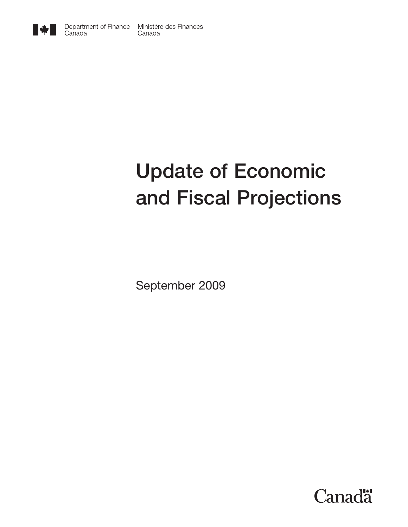

# **Update of Economic and Fiscal Projections**

September 2009

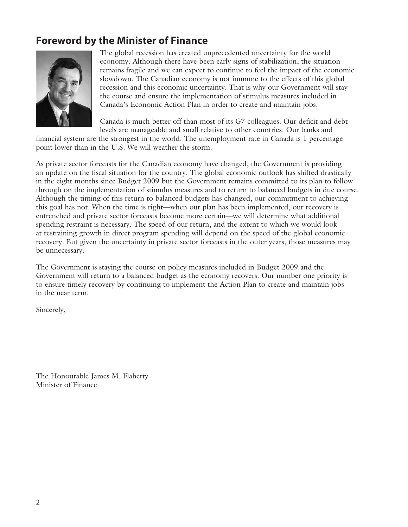# **Foreword by the Minister of Finance**



The global recession has created unprecedented uncertainty for the world economy. Although there have been early signs of stabilization, the situation remains fragile and we can expect to continue to feel the impact of the economic slowdown. The Canadian economy is not immune to the effects of this global recession and this economic uncertainty. That is why our Government will stay the course and ensure the implementation of stimulus measures included in Canada's Economic Action Plan in order to create and maintain jobs.

Canada is much better off than most of its G7 colleagues. Our deficit and debt levels are manageable and small relative to other countries. Our banks and

financial system are the strongest in the world. The unemployment rate in Canada is 1 percentage point lower than in the U.S. We will weather the storm.

As private sector forecasts for the Canadian economy have changed, the Government is providing an update on the fiscal situation for the country. The global economic outlook has shifted drastically in the eight months since Budget 2009 but the Government remains committed to its plan to follow through on the implementation of stimulus measures and to return to balanced budgets in due course. Although the timing of this return to balanced budgets has changed, our commitment to achieving this goal has not. When the time is right—when our plan has been implemented, our recovery is entrenched and private sector forecasts become more certain—we will determine what additional spending restraint is necessary. The speed of our return, and the extent to which we would look at restraining growth in direct program spending will depend on the speed of the global economic recovery. But given the uncertainty in private sector forecasts in the outer years, those measures may be unnecessary.

The Government is staying the course on policy measures included in Budget 2009 and the Government will return to a balanced budget as the economy recovers. Our number one priority is to ensure timely recovery by continuing to implement the Action Plan to create and maintain jobs in the near term.

Sincerely,

The Honourable James M. Flaherty Minister of Finance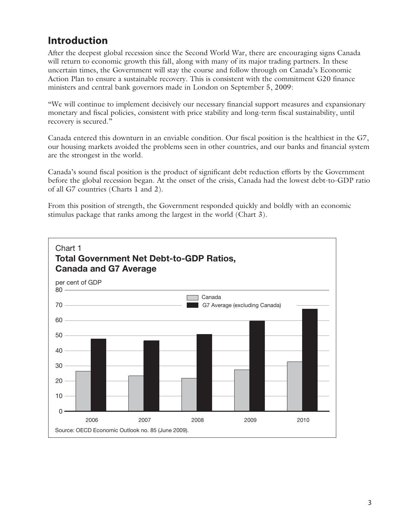# **Introduction**

After the deepest global recession since the Second World War, there are encouraging signs Canada will return to economic growth this fall, along with many of its major trading partners. In these uncertain times, the Government will stay the course and follow through on Canada's Economic Action Plan to ensure a sustainable recovery. This is consistent with the commitment G20 finance ministers and central bank governors made in London on September 5, 2009:

"We will continue to implement decisively our necessary financial support measures and expansionary monetary and fiscal policies, consistent with price stability and long-term fiscal sustainability, until recovery is secured."

Canada entered this downturn in an enviable condition. Our fiscal position is the healthiest in the G7, our housing markets avoided the problems seen in other countries, and our banks and financial system are the strongest in the world.

Canada's sound fiscal position is the product of significant debt reduction efforts by the Government before the global recession began. At the onset of the crisis, Canada had the lowest debt-to-GDP ratio of all G7 countries (Charts 1 and 2).

From this position of strength, the Government responded quickly and boldly with an economic stimulus package that ranks among the largest in the world (Chart 3).

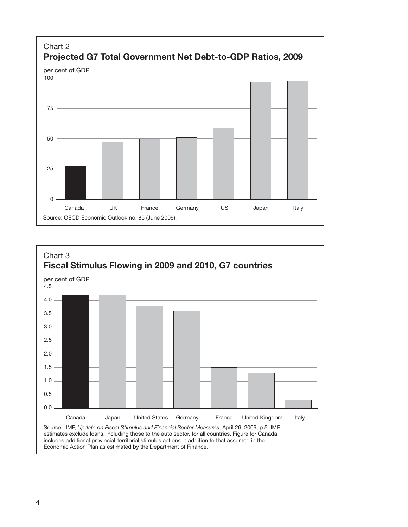

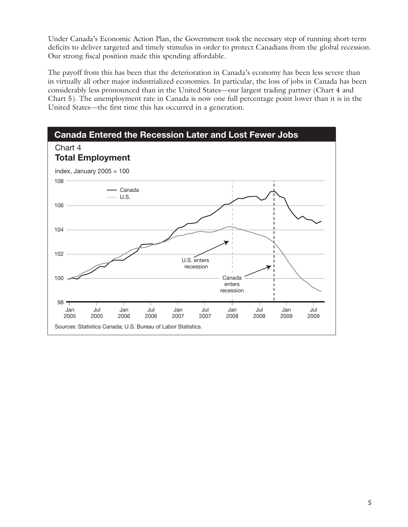Under Canada's Economic Action Plan, the Government took the necessary step of running short-term deficits to deliver targeted and timely stimulus in order to protect Canadians from the global recession. Our strong fiscal position made this spending affordable.

The payoff from this has been that the deterioration in Canada's economy has been less severe than in virtually all other major industrialized economies. In particular, the loss of jobs in Canada has been considerably less pronounced than in the United States—our largest trading partner (Chart 4 and Chart 5). The unemployment rate in Canada is now one full percentage point lower than it is in the United States—the first time this has occurred in a generation.

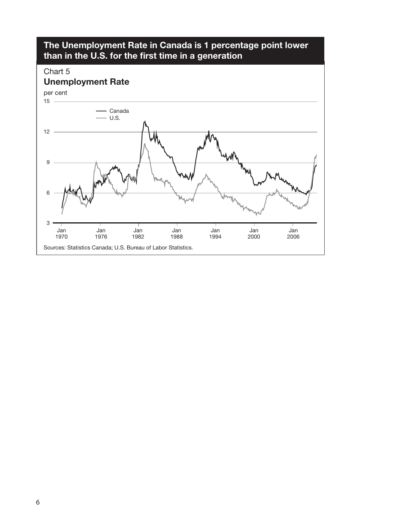

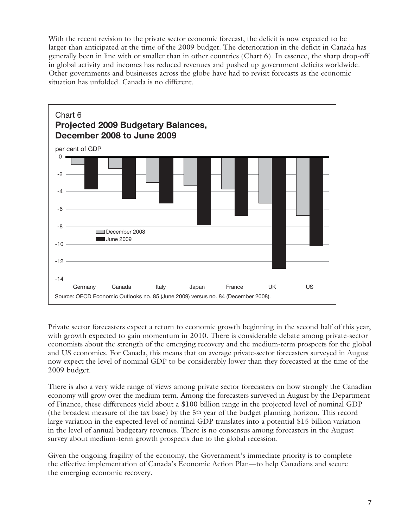With the recent revision to the private sector economic forecast, the deficit is now expected to be larger than anticipated at the time of the 2009 budget. The deterioration in the deficit in Canada has generally been in line with or smaller than in other countries (Chart 6). In essence, the sharp drop-off in global activity and incomes has reduced revenues and pushed up government deficits worldwide. Other governments and businesses across the globe have had to revisit forecasts as the economic situation has unfolded. Canada is no different.



Private sector forecasters expect a return to economic growth beginning in the second half of this year, with growth expected to gain momentum in 2010. There is considerable debate among private-sector economists about the strength of the emerging recovery and the medium-term prospects for the global and US economies. For Canada, this means that on average private-sector forecasters surveyed in August now expect the level of nominal GDP to be considerably lower than they forecasted at the time of the 2009 budget.

There is also a very wide range of views among private sector forecasters on how strongly the Canadian economy will grow over the medium term. Among the forecasters surveyed in August by the Department of Finance, these differences yield about a \$100 billion range in the projected level of nominal GDP (the broadest measure of the tax base) by the 5th year of the budget planning horizon. This record large variation in the expected level of nominal GDP translates into a potential \$15 billion variation in the level of annual budgetary revenues. There is no consensus among forecasters in the August survey about medium-term growth prospects due to the global recession.

Given the ongoing fragility of the economy, the Government's immediate priority is to complete the effective implementation of Canada's Economic Action Plan—to help Canadians and secure the emerging economic recovery.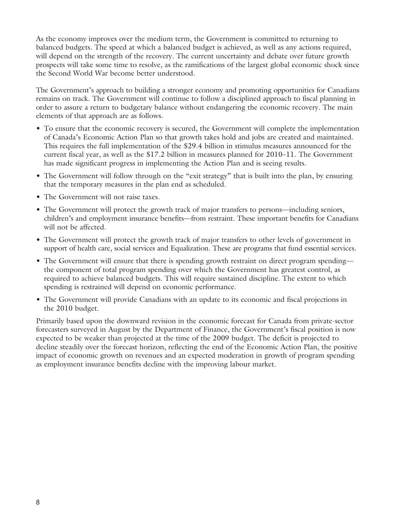As the economy improves over the medium term, the Government is committed to returning to balanced budgets. The speed at which a balanced budget is achieved, as well as any actions required, will depend on the strength of the recovery. The current uncertainty and debate over future growth prospects will take some time to resolve, as the ramifications of the largest global economic shock since the Second World War become better understood.

The Government's approach to building a stronger economy and promoting opportunities for Canadians remains on track. The Government will continue to follow a disciplined approach to fiscal planning in order to assure a return to budgetary balance without endangering the economic recovery. The main elements of that approach are as follows.

- To ensure that the economic recovery is secured, the Government will complete the implementation of Canada's Economic Action Plan so that growth takes hold and jobs are created and maintained. This requires the full implementation of the \$29.4 billion in stimulus measures announced for the current fiscal year, as well as the \$17.2 billion in measures planned for 2010–11. The Government has made significant progress in implementing the Action Plan and is seeing results.
- The Government will follow through on the "exit strategy" that is built into the plan, by ensuring that the temporary measures in the plan end as scheduled.
- The Government will not raise taxes.
- The Government will protect the growth track of major transfers to persons—including seniors, children's and employment insurance benefits—from restraint. These important benefits for Canadians will not be affected.
- The Government will protect the growth track of major transfers to other levels of government in support of health care, social services and Equalization. These are programs that fund essential services.
- The Government will ensure that there is spending growth restraint on direct program spending the component of total program spending over which the Government has greatest control, as required to achieve balanced budgets. This will require sustained discipline. The extent to which spending is restrained will depend on economic performance.
- The Government will provide Canadians with an update to its economic and fiscal projections in the 2010 budget.

Primarily based upon the downward revision in the economic forecast for Canada from private-sector forecasters surveyed in August by the Department of Finance, the Government's fiscal position is now expected to be weaker than projected at the time of the 2009 budget. The deficit is projected to decline steadily over the forecast horizon, reflecting the end of the Economic Action Plan, the positive impact of economic growth on revenues and an expected moderation in growth of program spending as employment insurance benefits decline with the improving labour market.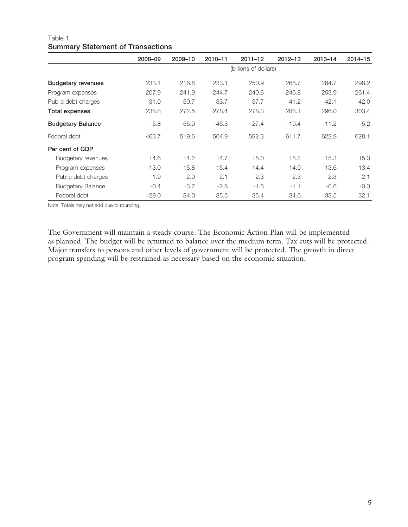|                           | 2008-09 | 2009-10               | 2010-11 | $2011 - 12$ | $2012 - 13$ | $2013 - 14$ | $2014 - 15$ |  |  |
|---------------------------|---------|-----------------------|---------|-------------|-------------|-------------|-------------|--|--|
|                           |         | (billions of dollars) |         |             |             |             |             |  |  |
| <b>Budgetary revenues</b> | 233.1   | 216.6                 | 233.1   | 250.9       | 268.7       | 284.7       | 298.2       |  |  |
| Program expenses          | 207.9   | 241.9                 | 244.7   | 240.6       | 246.8       | 253.9       | 261.4       |  |  |
| Public debt charges       | 31.0    | 30.7                  | 33.7    | 37.7        | 41.2        | 42.1        | 42.0        |  |  |
| Total expenses            | 238.8   | 272.5                 | 278.4   | 278.3       | 288.1       | 296.0       | 303.4       |  |  |
| <b>Budgetary Balance</b>  | $-5.8$  | $-55.9$               | $-45.3$ | $-27.4$     | $-19.4$     | $-11.2$     | $-5.2$      |  |  |
| Federal debt              | 463.7   | 519.6                 | 564.9   | 592.3       | 611.7       | 622.9       | 628.1       |  |  |
| Per cent of GDP           |         |                       |         |             |             |             |             |  |  |
| Budgetary revenues        | 14.6    | 14.2                  | 14.7    | 15.0        | 15.2        | 15.3        | 15.3        |  |  |
| Program expenses          | 13.0    | 15.8                  | 15.4    | 14.4        | 14.0        | 13.6        | 13.4        |  |  |
| Public debt charges       | 1.9     | 2.0                   | 2.1     | 2.3         | 2.3         | 2.3         | 2.1         |  |  |
| <b>Budgetary Balance</b>  | $-0.4$  | $-3.7$                | $-2.8$  | $-1.6$      | $-1.1$      | $-0.6$      | $-0.3$      |  |  |
| Federal debt              | 29.0    | 34.0                  | 35.5    | 35.4        | 34.6        | 33.5        | 32.1        |  |  |

### Table 1 **Summary Statement of Transactions**

Note: Totals may not add due to rounding.

The Government will maintain a steady course. The Economic Action Plan will be implemented as planned. The budget will be returned to balance over the medium term. Tax cuts will be protected. Major transfers to persons and other levels of government will be protected. The growth in direct program spending will be restrained as necessary based on the economic situation.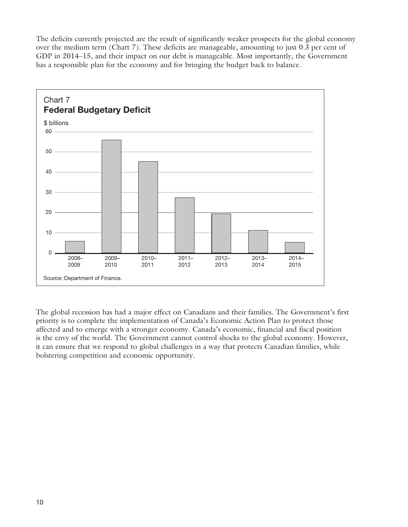The deficits currently projected are the result of significantly weaker prospects for the global economy over the medium term (Chart 7). These deficits are manageable, amounting to just 0.3 per cent of GDP in 2014–15, and their impact on our debt is manageable. Most importantly, the Government has a responsible plan for the economy and for bringing the budget back to balance.



The global recession has had a major effect on Canadians and their families. The Government's first priority is to complete the implementation of Canada's Economic Action Plan to protect those affected and to emerge with a stronger economy. Canada's economic, financial and fiscal position is the envy of the world. The Government cannot control shocks to the global economy. However, it can ensure that we respond to global challenges in a way that protects Canadian families, while bolstering competition and economic opportunity.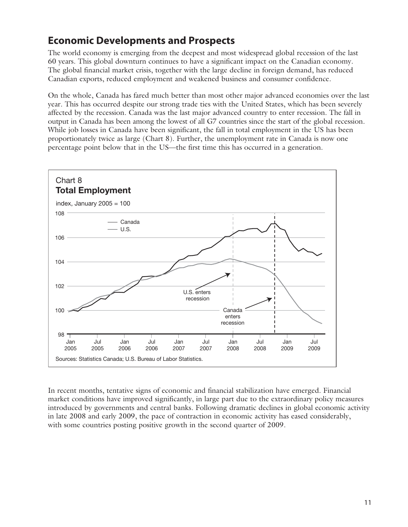## **Economic Developments and Prospects**

The world economy is emerging from the deepest and most widespread global recession of the last 60 years. This global downturn continues to have a significant impact on the Canadian economy. The global financial market crisis, together with the large decline in foreign demand, has reduced Canadian exports, reduced employment and weakened business and consumer confidence.

On the whole, Canada has fared much better than most other major advanced economies over the last year. This has occurred despite our strong trade ties with the United States, which has been severely affected by the recession. Canada was the last major advanced country to enter recession. The fall in output in Canada has been among the lowest of all G7 countries since the start of the global recession. While job losses in Canada have been significant, the fall in total employment in the US has been proportionately twice as large (Chart 8). Further, the unemployment rate in Canada is now one percentage point below that in the US—the first time this has occurred in a generation.



In recent months, tentative signs of economic and financial stabilization have emerged. Financial market conditions have improved significantly, in large part due to the extraordinary policy measures introduced by governments and central banks. Following dramatic declines in global economic activity in late 2008 and early 2009, the pace of contraction in economic activity has eased considerably, with some countries posting positive growth in the second quarter of 2009.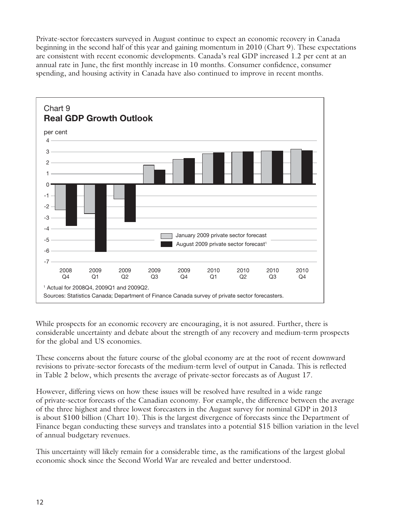Private-sector forecasters surveyed in August continue to expect an economic recovery in Canada beginning in the second half of this year and gaining momentum in 2010 (Chart 9). These expectations are consistent with recent economic developments. Canada's real GDP increased 1.2 per cent at an annual rate in June, the first monthly increase in 10 months. Consumer confidence, consumer spending, and housing activity in Canada have also continued to improve in recent months.



While prospects for an economic recovery are encouraging, it is not assured. Further, there is considerable uncertainty and debate about the strength of any recovery and medium-term prospects for the global and US economies.

These concerns about the future course of the global economy are at the root of recent downward revisions to private-sector forecasts of the medium-term level of output in Canada. This is reflected in Table 2 below, which presents the average of private-sector forecasts as of August 17.

However, differing views on how these issues will be resolved have resulted in a wide range of private-sector forecasts of the Canadian economy. For example, the difference between the average of the three highest and three lowest forecasters in the August survey for nominal GDP in 2013 is about \$100 billion (Chart 10). This is the largest divergence of forecasts since the Department of Finance began conducting these surveys and translates into a potential \$15 billion variation in the level of annual budgetary revenues.

This uncertainty will likely remain for a considerable time, as the ramifications of the largest global economic shock since the Second World War are revealed and better understood.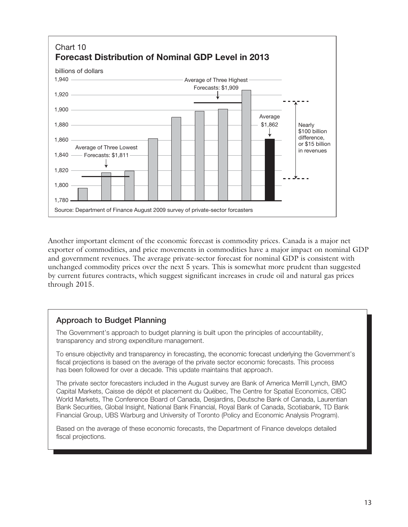

Another important element of the economic forecast is commodity prices. Canada is a major net exporter of commodities, and price movements in commodities have a major impact on nominal GDP and government revenues. The average private-sector forecast for nominal GDP is consistent with unchanged commodity prices over the next 5 years. This is somewhat more prudent than suggested by current futures contracts, which suggest significant increases in crude oil and natural gas prices through 2015.

## **Approach to Budget Planning**

The Government's approach to budget planning is built upon the principles of accountability, transparency and strong expenditure management.

To ensure objectivity and transparency in forecasting, the economic forecast underlying the Government's fiscal projections is based on the average of the private sector economic forecasts. This process has been followed for over a decade. This update maintains that approach.

The private sector forecasters included in the August survey are Bank of America Merrill Lynch, BMO Capital Markets, Caisse de dépôt et placement du Québec, The Centre for Spatial Economics, CIBC World Markets, The Conference Board of Canada, Desjardins, Deutsche Bank of Canada, Laurentian Bank Securities, Global Insight, National Bank Financial, Royal Bank of Canada, Scotiabank, TD Bank Financial Group, UBS Warburg and University of Toronto (Policy and Economic Analysis Program).

Based on the average of these economic forecasts, the Department of Finance develops detailed fiscal projections.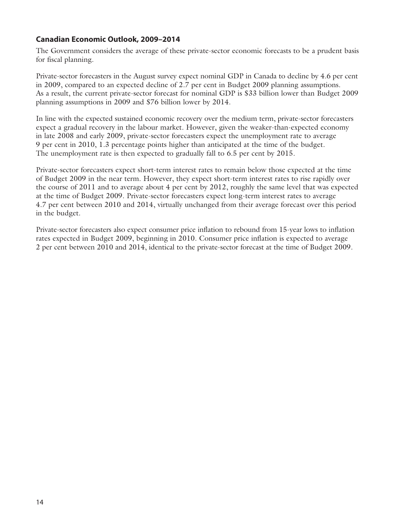## **Canadian Economic Outlook, 2009–2014**

The Government considers the average of these private-sector economic forecasts to be a prudent basis for fiscal planning.

Private-sector forecasters in the August survey expect nominal GDP in Canada to decline by 4.6 per cent in 2009, compared to an expected decline of 2.7 per cent in Budget 2009 planning assumptions. As a result, the current private-sector forecast for nominal GDP is \$33 billion lower than Budget 2009 planning assumptions in 2009 and \$76 billion lower by 2014.

In line with the expected sustained economic recovery over the medium term, private-sector forecasters expect a gradual recovery in the labour market. However, given the weaker-than-expected economy in late 2008 and early 2009, private-sector forecasters expect the unemployment rate to average 9 per cent in 2010, 1.3 percentage points higher than anticipated at the time of the budget. The unemployment rate is then expected to gradually fall to 6.5 per cent by 2015.

Private-sector forecasters expect short-term interest rates to remain below those expected at the time of Budget 2009 in the near term. However, they expect short-term interest rates to rise rapidly over the course of 2011 and to average about 4 per cent by 2012, roughly the same level that was expected at the time of Budget 2009. Private-sector forecasters expect long-term interest rates to average 4.7 per cent between 2010 and 2014, virtually unchanged from their average forecast over this period in the budget.

Private-sector forecasters also expect consumer price inflation to rebound from 15-year lows to inflation rates expected in Budget 2009, beginning in 2010. Consumer price inflation is expected to average 2 per cent between 2010 and 2014, identical to the private-sector forecast at the time of Budget 2009.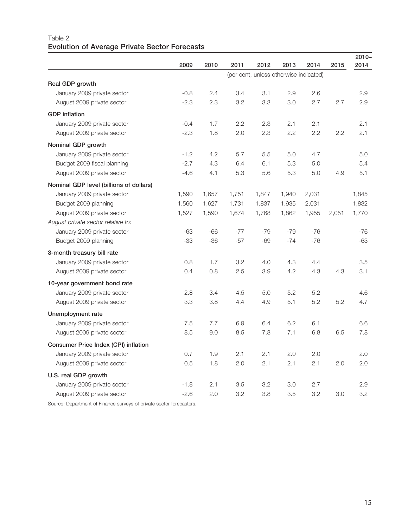## Table 2 **Evolution of Average Private Sector Forecasts**

|                                         |        |                                        |       |       |       |       |       | $2010 -$ |  |
|-----------------------------------------|--------|----------------------------------------|-------|-------|-------|-------|-------|----------|--|
|                                         | 2009   | 2010                                   | 2011  | 2012  | 2013  | 2014  | 2015  | 2014     |  |
|                                         |        | (per cent, unless otherwise indicated) |       |       |       |       |       |          |  |
| Real GDP growth                         |        |                                        |       |       |       |       |       |          |  |
| January 2009 private sector             | $-0.8$ | 2.4                                    | 3.4   | 3.1   | 2.9   | 2.6   |       | 2.9      |  |
| August 2009 private sector              | $-2.3$ | 2.3                                    | 3.2   | 3.3   | 3.0   | 2.7   | 2.7   | 2.9      |  |
| <b>GDP</b> inflation                    |        |                                        |       |       |       |       |       |          |  |
| January 2009 private sector             | $-0.4$ | 1.7                                    | 2.2   | 2.3   | 2.1   | 2.1   |       | 2.1      |  |
| August 2009 private sector              | $-2.3$ | 1.8                                    | 2.0   | 2.3   | 2.2   | 2.2   | 2.2   | 2.1      |  |
| Nominal GDP growth                      |        |                                        |       |       |       |       |       |          |  |
| January 2009 private sector             | $-1.2$ | 4.2                                    | 5.7   | 5.5   | 5.0   | 4.7   |       | 5.0      |  |
| Budget 2009 fiscal planning             | $-2.7$ | 4.3                                    | 6.4   | 6.1   | 5.3   | 5.0   |       | 5.4      |  |
| August 2009 private sector              | $-4.6$ | 4.1                                    | 5.3   | 5.6   | 5.3   | 5.0   | 4.9   | 5.1      |  |
| Nominal GDP level (billions of dollars) |        |                                        |       |       |       |       |       |          |  |
| January 2009 private sector             | 1,590  | 1,657                                  | 1,751 | 1,847 | 1,940 | 2,031 |       | 1,845    |  |
| Budget 2009 planning                    | 1,560  | 1,627                                  | 1,731 | 1,837 | 1,935 | 2,031 |       | 1,832    |  |
| August 2009 private sector              | 1,527  | 1,590                                  | 1,674 | 1,768 | 1,862 | 1,955 | 2,051 | 1,770    |  |
| August private sector relative to:      |        |                                        |       |       |       |       |       |          |  |
| January 2009 private sector             | -63    | $-66$                                  | $-77$ | $-79$ | $-79$ | $-76$ |       | $-76$    |  |
| Budget 2009 planning                    | -33    | $-36$                                  | $-57$ | $-69$ | $-74$ | $-76$ |       | -63      |  |
| 3-month treasury bill rate              |        |                                        |       |       |       |       |       |          |  |
| January 2009 private sector             | 0.8    | 1.7                                    | 3.2   | 4.0   | 4.3   | 4.4   |       | 3.5      |  |
| August 2009 private sector              | 0.4    | 0.8                                    | 2.5   | 3.9   | 4.2   | 4.3   | 4.3   | 3.1      |  |
| 10-year government bond rate            |        |                                        |       |       |       |       |       |          |  |
| January 2009 private sector             | 2.8    | 3.4                                    | 4.5   | 5.0   | 5.2   | 5.2   |       | 4.6      |  |
| August 2009 private sector              | 3.3    | 3.8                                    | 4.4   | 4.9   | 5.1   | 5.2   | 5.2   | 4.7      |  |
| Unemployment rate                       |        |                                        |       |       |       |       |       |          |  |
| January 2009 private sector             | 7.5    | 7.7                                    | 6.9   | 6.4   | 6.2   | 6.1   |       | 6.6      |  |
| August 2009 private sector              | 8.5    | 9.0                                    | 8.5   | 7.8   | 7.1   | 6.8   | 6.5   | 7.8      |  |
| Consumer Price Index (CPI) inflation    |        |                                        |       |       |       |       |       |          |  |
| January 2009 private sector             | 0.7    | 1.9                                    | 2.1   | 2.1   | 2.0   | 2.0   |       | 2.0      |  |
| August 2009 private sector              | 0.5    | 1.8                                    | 2.0   | 2.1   | 2.1   | 2.1   | 2.0   | 2.0      |  |
| U.S. real GDP growth                    |        |                                        |       |       |       |       |       |          |  |
| January 2009 private sector             | $-1.8$ | 2.1                                    | 3.5   | 3.2   | 3.0   | 2.7   |       | 2.9      |  |
| August 2009 private sector              | $-2.6$ | 2.0                                    | 3.2   | 3.8   | 3.5   | 3.2   | 3.0   | 3.2      |  |

Source: Department of Finance surveys of private sector forecasters.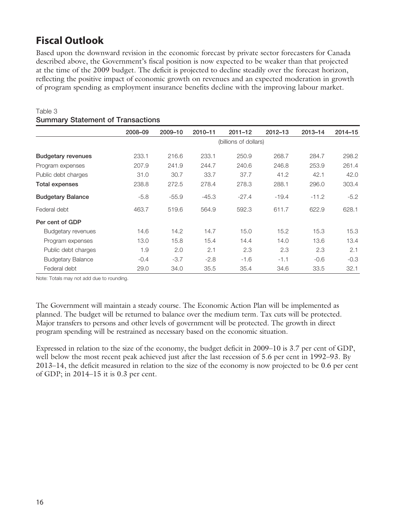# **Fiscal Outlook**

Table 3

Based upon the downward revision in the economic forecast by private sector forecasters for Canada described above, the Government's fiscal position is now expected to be weaker than that projected at the time of the 2009 budget. The deficit is projected to decline steadily over the forecast horizon, reflecting the positive impact of economic growth on revenues and an expected moderation in growth of program spending as employment insurance benefits decline with the improving labour market.

|                           | 2008-09 | 2009-10               | 2010-11 | $2011 - 12$ | $2012 - 13$ | $2013 - 14$ | $2014 - 15$ |  |  |
|---------------------------|---------|-----------------------|---------|-------------|-------------|-------------|-------------|--|--|
|                           |         | (billions of dollars) |         |             |             |             |             |  |  |
| <b>Budgetary revenues</b> | 233.1   | 216.6                 | 233.1   | 250.9       | 268.7       | 284.7       | 298.2       |  |  |
| Program expenses          | 207.9   | 241.9                 | 244.7   | 240.6       | 246.8       | 253.9       | 261.4       |  |  |
| Public debt charges       | 31.0    | 30.7                  | 33.7    | 37.7        | 41.2        | 42.1        | 42.0        |  |  |
| Total expenses            | 238.8   | 272.5                 | 278.4   | 278.3       | 288.1       | 296.0       | 303.4       |  |  |
| <b>Budgetary Balance</b>  | $-5.8$  | $-55.9$               | $-45.3$ | $-27.4$     | $-19.4$     | $-11.2$     | $-5.2$      |  |  |
| Federal debt              | 463.7   | 519.6                 | 564.9   | 592.3       | 611.7       | 622.9       | 628.1       |  |  |
| Per cent of GDP           |         |                       |         |             |             |             |             |  |  |
| Budgetary revenues        | 14.6    | 14.2                  | 14.7    | 15.0        | 15.2        | 15.3        | 15.3        |  |  |
| Program expenses          | 13.0    | 15.8                  | 15.4    | 14.4        | 14.0        | 13.6        | 13.4        |  |  |
| Public debt charges       | 1.9     | 2.0                   | 2.1     | 2.3         | 2.3         | 2.3         | 2.1         |  |  |
| <b>Budgetary Balance</b>  | $-0.4$  | $-3.7$                | $-2.8$  | $-1.6$      | $-1.1$      | $-0.6$      | $-0.3$      |  |  |
| Federal debt              | 29.0    | 34.0                  | 35.5    | 35.4        | 34.6        | 33.5        | 32.1        |  |  |

## **Summary Statement of Transactions**

Note: Totals may not add due to rounding.

The Government will maintain a steady course. The Economic Action Plan will be implemented as planned. The budget will be returned to balance over the medium term. Tax cuts will be protected. Major transfers to persons and other levels of government will be protected. The growth in direct program spending will be restrained as necessary based on the economic situation.

Expressed in relation to the size of the economy, the budget deficit in 2009–10 is 3.7 per cent of GDP, well below the most recent peak achieved just after the last recession of 5.6 per cent in 1992–93. By 2013–14, the deficit measured in relation to the size of the economy is now projected to be 0.6 per cent of GDP; in 2014–15 it is 0.3 per cent.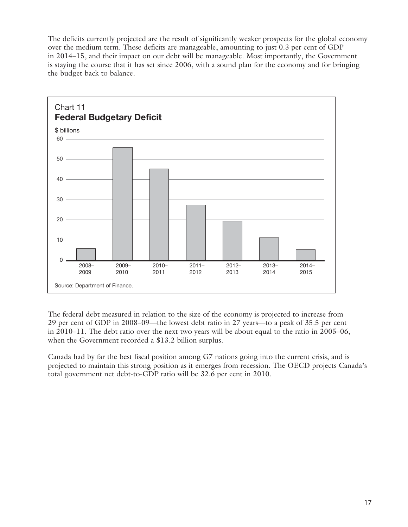The deficits currently projected are the result of significantly weaker prospects for the global economy over the medium term. These deficits are manageable, amounting to just 0.3 per cent of GDP in 2014–15, and their impact on our debt will be manageable. Most importantly, the Government is staying the course that it has set since 2006, with a sound plan for the economy and for bringing the budget back to balance.



The federal debt measured in relation to the size of the economy is projected to increase from 29 per cent of GDP in 2008–09—the lowest debt ratio in 27 years—to a peak of 35.5 per cent in 2010–11. The debt ratio over the next two years will be about equal to the ratio in 2005–06, when the Government recorded a \$13.2 billion surplus.

Canada had by far the best fiscal position among G7 nations going into the current crisis, and is projected to maintain this strong position as it emerges from recession. The OECD projects Canada's total government net debt-to-GDP ratio will be 32.6 per cent in 2010.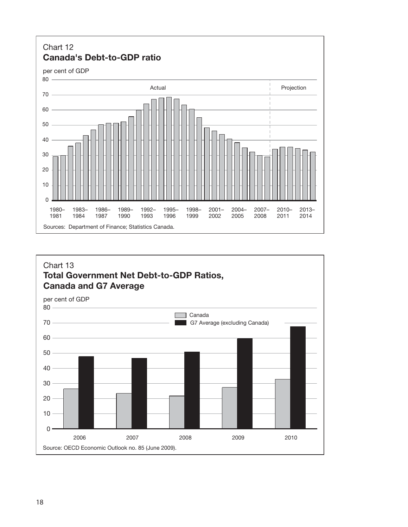

## Chart 13 **Total Government Net Debt-to-GDP Ratios, Canada and G7 Average**

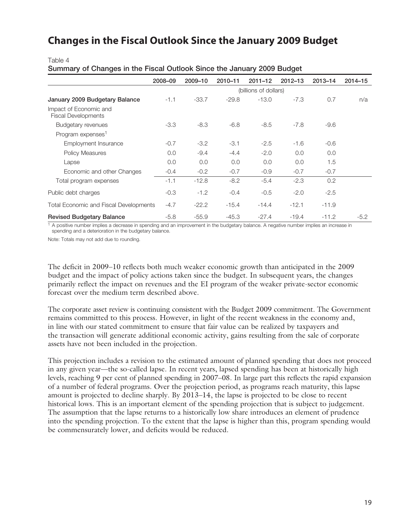## **Changes in the Fiscal Outlook Since the January 2009 Budget**

Table 4

**Summary of Changes in the Fiscal Outlook Since the January 2009 Budget**

|                                                      | 2008-09 | 2009-10               | 2010-11 | $2011 - 12$ | $2012 - 13$ | $2013 - 14$ | $2014 - 15$ |  |  |
|------------------------------------------------------|---------|-----------------------|---------|-------------|-------------|-------------|-------------|--|--|
|                                                      |         | (billions of dollars) |         |             |             |             |             |  |  |
| January 2009 Budgetary Balance                       | $-1.1$  | $-33.7$               | $-29.8$ | $-13.0$     | $-7.3$      | 0.7         | n/a         |  |  |
| Impact of Economic and<br><b>Fiscal Developments</b> |         |                       |         |             |             |             |             |  |  |
| Budgetary revenues                                   | $-3.3$  | $-8.3$                | $-6.8$  | $-8.5$      | $-7.8$      | $-9.6$      |             |  |  |
| Program expenses <sup>1</sup>                        |         |                       |         |             |             |             |             |  |  |
| Employment Insurance                                 | $-0.7$  | $-3.2$                | $-3.1$  | $-2.5$      | $-1.6$      | $-0.6$      |             |  |  |
| Policy Measures                                      | 0.0     | $-9.4$                | $-4.4$  | $-2.0$      | 0.0         | 0.0         |             |  |  |
| Lapse                                                | 0.0     | 0.0                   | 0.0     | 0.0         | 0.0         | 1.5         |             |  |  |
| Economic and other Changes                           | $-0.4$  | $-0.2$                | $-0.7$  | $-0.9$      | $-0.7$      | $-0.7$      |             |  |  |
| Total program expenses                               | $-1.1$  | $-12.8$               | $-8.2$  | $-5.4$      | $-2.3$      | 0.2         |             |  |  |
| Public debt charges                                  | $-0.3$  | $-1.2$                | $-0.4$  | $-0.5$      | $-2.0$      | $-2.5$      |             |  |  |
| Total Economic and Fiscal Developments               | $-4.7$  | $-22.2$               | $-15.4$ | $-14.4$     | $-12.1$     | $-11.9$     |             |  |  |
| <b>Revised Budgetary Balance</b>                     | $-5.8$  | $-55.9$               | $-45.3$ | $-27.4$     | $-19.4$     | $-11.2$     | $-5.2$      |  |  |

 $1$  A positive number implies a decrease in spending and an improvement in the budgetary balance. A negative number implies an increase in spending and a deterioration in the budgetary balance.

Note: Totals may not add due to rounding.

The deficit in 2009–10 reflects both much weaker economic growth than anticipated in the 2009 budget and the impact of policy actions taken since the budget. In subsequent years, the changes primarily reflect the impact on revenues and the EI program of the weaker private-sector economic forecast over the medium term described above.

The corporate asset review is continuing consistent with the Budget 2009 commitment. The Government remains committed to this process. However, in light of the recent weakness in the economy and, in line with our stated commitment to ensure that fair value can be realized by taxpayers and the transaction will generate additional economic activity, gains resulting from the sale of corporate assets have not been included in the projection.

This projection includes a revision to the estimated amount of planned spending that does not proceed in any given year—the so-called lapse. In recent years, lapsed spending has been at historically high levels, reaching 9 per cent of planned spending in 2007–08. In large part this reflects the rapid expansion of a number of federal programs. Over the projection period, as programs reach maturity, this lapse amount is projected to decline sharply. By 2013–14, the lapse is projected to be close to recent historical lows. This is an important element of the spending projection that is subject to judgement. The assumption that the lapse returns to a historically low share introduces an element of prudence into the spending projection. To the extent that the lapse is higher than this, program spending would be commensurately lower, and deficits would be reduced.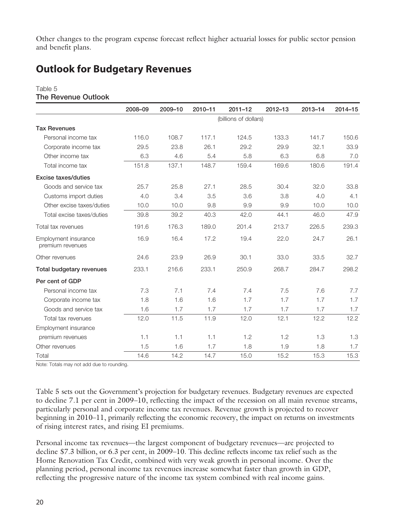Other changes to the program expense forecast reflect higher actuarial losses for public sector pension and benefit plans.

# **Outlook for Budgetary Revenues**

#### Table 5 **The Revenue Outlook**

|                                          | 2008-09               | 2009-10 | 2010-11 | $2011 - 12$ | $2012 - 13$ | 2013-14 | 2014-15 |  |  |
|------------------------------------------|-----------------------|---------|---------|-------------|-------------|---------|---------|--|--|
|                                          | (billions of dollars) |         |         |             |             |         |         |  |  |
| <b>Tax Revenues</b>                      |                       |         |         |             |             |         |         |  |  |
| Personal income tax                      | 116.0                 | 108.7   | 117.1   | 124.5       | 133.3       | 141.7   | 150.6   |  |  |
| Corporate income tax                     | 29.5                  | 23.8    | 26.1    | 29.2        | 29.9        | 32.1    | 33.9    |  |  |
| Other income tax                         | 6.3                   | 4.6     | 5.4     | 5.8         | 6.3         | 6.8     | 7.0     |  |  |
| Total income tax                         | 151.8                 | 137.1   | 148.7   | 159.4       | 169.6       | 180.6   | 191.4   |  |  |
| <b>Excise taxes/duties</b>               |                       |         |         |             |             |         |         |  |  |
| Goods and service tax                    | 25.7                  | 25.8    | 27.1    | 28.5        | 30.4        | 32.0    | 33.8    |  |  |
| Customs import duties                    | 4.0                   | 3.4     | 3.5     | 3.6         | 3.8         | 4.0     | 4.1     |  |  |
| Other excise taxes/duties                | 10.0                  | 10.0    | 9.8     | 9.9         | 9.9         | 10.0    | 10.0    |  |  |
| Total excise taxes/duties                | 39.8                  | 39.2    | 40.3    | 42.0        | 44.1        | 46.0    | 47.9    |  |  |
| Total tax revenues                       | 191.6                 | 176.3   | 189.0   | 201.4       | 213.7       | 226.5   | 239.3   |  |  |
| Employment insurance<br>premium revenues | 16.9                  | 16.4    | 17.2    | 19.4        | 22.0        | 24.7    | 26.1    |  |  |
| Other revenues                           | 24.6                  | 23.9    | 26.9    | 30.1        | 33.0        | 33.5    | 32.7    |  |  |
| Total budgetary revenues                 | 233.1                 | 216.6   | 233.1   | 250.9       | 268.7       | 284.7   | 298.2   |  |  |
| Per cent of GDP                          |                       |         |         |             |             |         |         |  |  |
| Personal income tax                      | 7.3                   | 7.1     | 7.4     | 7.4         | 7.5         | 7.6     | 7.7     |  |  |
| Corporate income tax                     | 1.8                   | 1.6     | 1.6     | 1.7         | 1.7         | 1.7     | 1.7     |  |  |
| Goods and service tax                    | 1.6                   | 1.7     | 1.7     | 1.7         | 1.7         | 1.7     | 1.7     |  |  |
| Total tax revenues                       | 12.0                  | 11.5    | 11.9    | 12.0        | 12.1        | 12.2    | 12.2    |  |  |
| Employment insurance                     |                       |         |         |             |             |         |         |  |  |
| premium revenues                         | 1.1                   | 1.1     | 1.1     | 1.2         | 1.2         | 1.3     | 1.3     |  |  |
| Other revenues                           | 1.5                   | 1.6     | 1.7     | 1.8         | 1.9         | 1.8     | 1.7     |  |  |
| Total                                    | 14.6                  | 14.2    | 14.7    | 15.0        | 15.2        | 15.3    | 15.3    |  |  |

Note: Totals may not add due to rounding.

Table 5 sets out the Government's projection for budgetary revenues. Budgetary revenues are expected to decline 7.1 per cent in 2009–10, reflecting the impact of the recession on all main revenue streams, particularly personal and corporate income tax revenues. Revenue growth is projected to recover beginning in 2010–11, primarily reflecting the economic recovery, the impact on returns on investments of rising interest rates, and rising EI premiums.

Personal income tax revenues—the largest component of budgetary revenues—are projected to decline \$7.3 billion, or 6.3 per cent, in 2009–10. This decline reflects income tax relief such as the Home Renovation Tax Credit, combined with very weak growth in personal income. Over the planning period, personal income tax revenues increase somewhat faster than growth in GDP, reflecting the progressive nature of the income tax system combined with real income gains.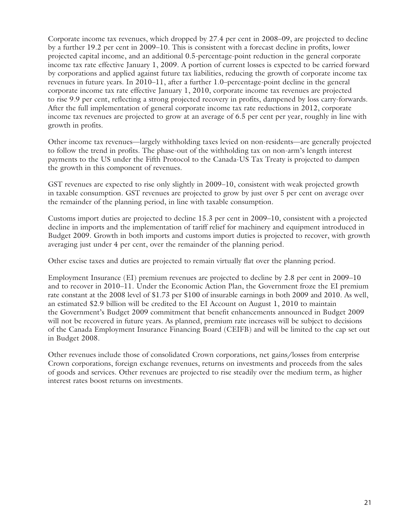Corporate income tax revenues, which dropped by 27.4 per cent in 2008–09, are projected to decline by a further 19.2 per cent in 2009–10. This is consistent with a forecast decline in profits, lower projected capital income, and an additional 0.5-percentage-point reduction in the general corporate income tax rate effective January 1, 2009. A portion of current losses is expected to be carried forward by corporations and applied against future tax liabilities, reducing the growth of corporate income tax revenues in future years. In 2010–11, after a further 1.0–percentage-point decline in the general corporate income tax rate effective January 1, 2010, corporate income tax revenues are projected to rise 9.9 per cent, reflecting a strong projected recovery in profits, dampened by loss carry-forwards. After the full implementation of general corporate income tax rate reductions in 2012, corporate income tax revenues are projected to grow at an average of 6.5 per cent per year, roughly in line with growth in profits.

Other income tax revenues—largely withholding taxes levied on non-residents—are generally projected to follow the trend in profits. The phase-out of the withholding tax on non-arm's length interest payments to the US under the Fifth Protocol to the Canada-US Tax Treaty is projected to dampen the growth in this component of revenues.

GST revenues are expected to rise only slightly in 2009–10, consistent with weak projected growth in taxable consumption. GST revenues are projected to grow by just over 5 per cent on average over the remainder of the planning period, in line with taxable consumption.

Customs import duties are projected to decline 15.3 per cent in 2009–10, consistent with a projected decline in imports and the implementation of tariff relief for machinery and equipment introduced in Budget 2009. Growth in both imports and customs import duties is projected to recover, with growth averaging just under 4 per cent, over the remainder of the planning period.

Other excise taxes and duties are projected to remain virtually flat over the planning period.

Employment Insurance (EI) premium revenues are projected to decline by 2.8 per cent in 2009–10 and to recover in 2010–11. Under the Economic Action Plan, the Government froze the EI premium rate constant at the 2008 level of \$1.73 per \$100 of insurable earnings in both 2009 and 2010. As well, an estimated \$2.9 billion will be credited to the EI Account on August 1, 2010 to maintain the Government's Budget 2009 commitment that benefit enhancements announced in Budget 2009 will not be recovered in future years. As planned, premium rate increases will be subject to decisions of the Canada Employment Insurance Financing Board (CEIFB) and will be limited to the cap set out in Budget 2008.

Other revenues include those of consolidated Crown corporations, net gains/losses from enterprise Crown corporations, foreign exchange revenues, returns on investments and proceeds from the sales of goods and services. Other revenues are projected to rise steadily over the medium term, as higher interest rates boost returns on investments.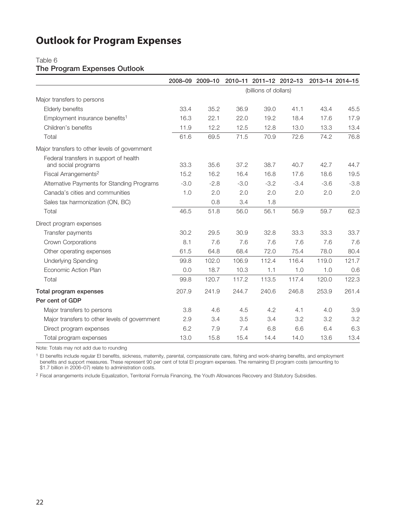# **Outlook for Program Expenses**

#### Table 6

### **The Program Expenses Outlook**

|                                                               |                       | 2008-09 2009-10 |        |        | 2010-11 2011-12 2012-13 2013-14 2014-15 |        |        |
|---------------------------------------------------------------|-----------------------|-----------------|--------|--------|-----------------------------------------|--------|--------|
|                                                               | (billions of dollars) |                 |        |        |                                         |        |        |
| Major transfers to persons                                    |                       |                 |        |        |                                         |        |        |
| Elderly benefits                                              | 33.4                  | 35.2            | 36.9   | 39.0   | 41.1                                    | 43.4   | 45.5   |
| Employment insurance benefits <sup>1</sup>                    | 16.3                  | 22.1            | 22.0   | 19.2   | 18.4                                    | 17.6   | 17.9   |
| Children's benefits                                           | 11.9                  | 12.2            | 12.5   | 12.8   | 13.0                                    | 13.3   | 13.4   |
| Total                                                         | 61.6                  | 69.5            | 71.5   | 70.9   | 72.6                                    | 74.2   | 76.8   |
| Major transfers to other levels of government                 |                       |                 |        |        |                                         |        |        |
| Federal transfers in support of health<br>and social programs | 33.3                  | 35.6            | 37.2   | 38.7   | 40.7                                    | 42.7   | 44.7   |
| Fiscal Arrangements <sup>2</sup>                              | 15.2                  | 16.2            | 16.4   | 16.8   | 17.6                                    | 18.6   | 19.5   |
| Alternative Payments for Standing Programs                    | $-3.0$                | $-2.8$          | $-3.0$ | $-3.2$ | $-3.4$                                  | $-3.6$ | $-3.8$ |
| Canada's cities and communities                               | 1.0                   | 2.0             | 2.0    | 2.0    | 2.0                                     | 2.0    | 2.0    |
| Sales tax harmonization (ON, BC)                              |                       | 0.8             | 3.4    | 1.8    |                                         |        |        |
| Total                                                         | 46.5                  | 51.8            | 56.0   | 56.1   | 56.9                                    | 59.7   | 62.3   |
| Direct program expenses                                       |                       |                 |        |        |                                         |        |        |
| Transfer payments                                             | 30.2                  | 29.5            | 30.9   | 32.8   | 33.3                                    | 33.3   | 33.7   |
| <b>Crown Corporations</b>                                     | 8.1                   | 7.6             | 7.6    | 7.6    | 7.6                                     | 7.6    | 7.6    |
| Other operating expenses                                      | 61.5                  | 64.8            | 68.4   | 72.0   | 75.4                                    | 78.0   | 80.4   |
| <b>Underlying Spending</b>                                    | 99.8                  | 102.0           | 106.9  | 112.4  | 116.4                                   | 119.0  | 121.7  |
| Economic Action Plan                                          | 0.0                   | 18.7            | 10.3   | 1.1    | 1.0                                     | 1.0    | 0.6    |
| Total                                                         | 99.8                  | 120.7           | 117.2  | 113.5  | 117.4                                   | 120.0  | 122.3  |
| Total program expenses                                        | 207.9                 | 241.9           | 244.7  | 240.6  | 246.8                                   | 253.9  | 261.4  |
| Per cent of GDP                                               |                       |                 |        |        |                                         |        |        |
| Major transfers to persons                                    | 3.8                   | 4.6             | 4.5    | 4.2    | 4.1                                     | 4.0    | 3.9    |
| Major transfers to other levels of government                 | 2.9                   | 3.4             | 3.5    | 3.4    | 3.2                                     | 3.2    | 3.2    |
| Direct program expenses                                       | 6.2                   | 7.9             | 7.4    | 6.8    | 6.6                                     | 6.4    | 6.3    |
| Total program expenses                                        | 13.0                  | 15.8            | 15.4   | 14.4   | 14.0                                    | 13.6   | 13.4   |

Note: Totals may not add due to rounding

<sup>1</sup> El benefits include regular El benefits, sickness, maternity, parental, compassionate care, fishing and work-sharing benefits, and employment benefits and support measures. These represent 90 per cent of total EI program expenses. The remaining EI program costs (amounting to \$1.7 billion in 2006–07) relate to administration costs.

<sup>2</sup> Fiscal arrangements include Equalization, Territorial Formula Financing, the Youth Allowances Recovery and Statutory Subsidies.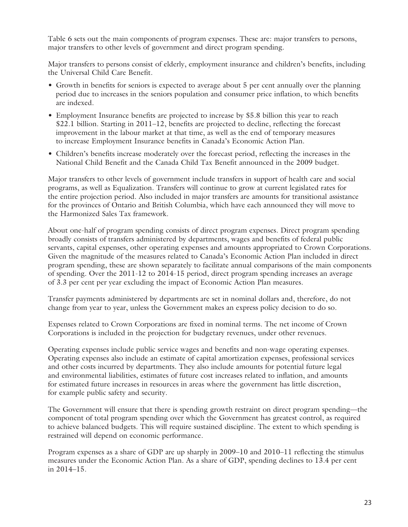Table 6 sets out the main components of program expenses. These are: major transfers to persons, major transfers to other levels of government and direct program spending.

Major transfers to persons consist of elderly, employment insurance and children's benefits, including the Universal Child Care Benefit.

- Growth in benefits for seniors is expected to average about 5 per cent annually over the planning period due to increases in the seniors population and consumer price inflation, to which benefits are indexed.
- Employment Insurance benefits are projected to increase by \$5.8 billion this year to reach \$22.1 billion. Starting in 2011–12, benefits are projected to decline, reflecting the forecast improvement in the labour market at that time, as well as the end of temporary measures to increase Employment Insurance benefits in Canada's Economic Action Plan.
- Children's benefits increase moderately over the forecast period, reflecting the increases in the National Child Benefit and the Canada Child Tax Benefit announced in the 2009 budget.

Major transfers to other levels of government include transfers in support of health care and social programs, as well as Equalization. Transfers will continue to grow at current legislated rates for the entire projection period. Also included in major transfers are amounts for transitional assistance for the provinces of Ontario and British Columbia, which have each announced they will move to the Harmonized Sales Tax framework.

About one-half of program spending consists of direct program expenses. Direct program spending broadly consists of transfers administered by departments, wages and benefits of federal public servants, capital expenses, other operating expenses and amounts appropriated to Crown Corporations. Given the magnitude of the measures related to Canada's Economic Action Plan included in direct program spending, these are shown separately to facilitate annual comparisons of the main components of spending. Over the 2011-12 to 2014-15 period, direct program spending increases an average of 3.3 per cent per year excluding the impact of Economic Action Plan measures.

Transfer payments administered by departments are set in nominal dollars and, therefore, do not change from year to year, unless the Government makes an express policy decision to do so.

Expenses related to Crown Corporations are fixed in nominal terms. The net income of Crown Corporations is included in the projection for budgetary revenues, under other revenues.

Operating expenses include public service wages and benefits and non-wage operating expenses. Operating expenses also include an estimate of capital amortization expenses, professional services and other costs incurred by departments. They also include amounts for potential future legal and environmental liabilities, estimates of future cost increases related to inflation, and amounts for estimated future increases in resources in areas where the government has little discretion, for example public safety and security.

The Government will ensure that there is spending growth restraint on direct program spending—the component of total program spending over which the Government has greatest control, as required to achieve balanced budgets. This will require sustained discipline. The extent to which spending is restrained will depend on economic performance.

Program expenses as a share of GDP are up sharply in 2009–10 and 2010–11 reflecting the stimulus measures under the Economic Action Plan. As a share of GDP, spending declines to 13.4 per cent in 2014–15.